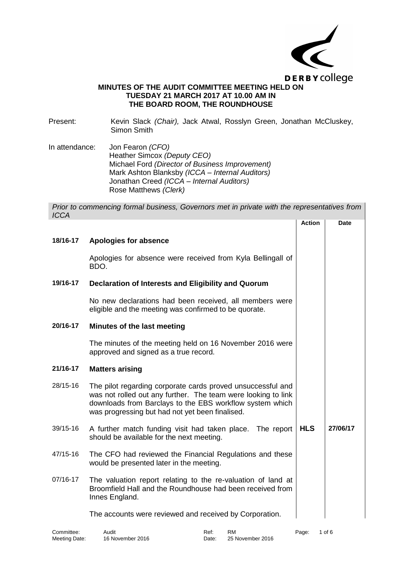

## **MINUTES OF THE AUDIT COMMITTEE MEETING HELD ON TUESDAY 21 MARCH 2017 AT 10.00 AM IN THE BOARD ROOM, THE ROUNDHOUSE**

Present: Kevin Slack *(Chair)*, Jack Atwal, Rosslyn Green, Jonathan McCluskey, Simon Smith

In attendance: Jon Fearon *(CFO)* Heather Simcox *(Deputy CEO)* Michael Ford *(Director of Business Improvement)* Mark Ashton Blanksby *(ICCA – Internal Auditors)* Jonathan Creed *(ICCA – Internal Auditors)* Rose Matthews *(Clerk)*

*Prior to commencing formal business, Governors met in private with the representatives from ICCA*

|          |                                                                                                                                                                                                                                             | <b>Action</b> | Date     |
|----------|---------------------------------------------------------------------------------------------------------------------------------------------------------------------------------------------------------------------------------------------|---------------|----------|
| 18/16-17 | Apologies for absence                                                                                                                                                                                                                       |               |          |
|          | Apologies for absence were received from Kyla Bellingall of<br>BDO.                                                                                                                                                                         |               |          |
| 19/16-17 | Declaration of Interests and Eligibility and Quorum                                                                                                                                                                                         |               |          |
|          | No new declarations had been received, all members were<br>eligible and the meeting was confirmed to be quorate.                                                                                                                            |               |          |
| 20/16-17 | Minutes of the last meeting                                                                                                                                                                                                                 |               |          |
|          | The minutes of the meeting held on 16 November 2016 were<br>approved and signed as a true record.                                                                                                                                           |               |          |
| 21/16-17 | <b>Matters arising</b>                                                                                                                                                                                                                      |               |          |
| 28/15-16 | The pilot regarding corporate cards proved unsuccessful and<br>was not rolled out any further. The team were looking to link<br>downloads from Barclays to the EBS workflow system which<br>was progressing but had not yet been finalised. |               |          |
| 39/15-16 | A further match funding visit had taken place. The report<br>should be available for the next meeting.                                                                                                                                      | <b>HLS</b>    | 27/06/17 |
| 47/15-16 | The CFO had reviewed the Financial Regulations and these<br>would be presented later in the meeting.                                                                                                                                        |               |          |
| 07/16-17 | The valuation report relating to the re-valuation of land at<br>Broomfield Hall and the Roundhouse had been received from<br>Innes England.                                                                                                 |               |          |
|          | The accounts were reviewed and received by Corporation.                                                                                                                                                                                     |               |          |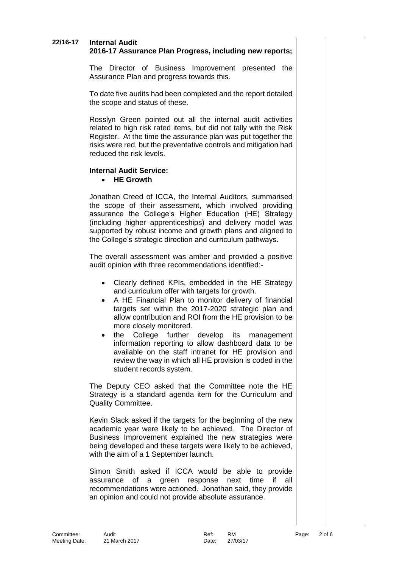# **22/16-17 Internal Audit**

# **2016-17 Assurance Plan Progress, including new reports;**

The Director of Business Improvement presented the Assurance Plan and progress towards this.

To date five audits had been completed and the report detailed the scope and status of these.

Rosslyn Green pointed out all the internal audit activities related to high risk rated items, but did not tally with the Risk Register. At the time the assurance plan was put together the risks were red, but the preventative controls and mitigation had reduced the risk levels.

# **Internal Audit Service:**

**HE Growth**

Jonathan Creed of ICCA, the Internal Auditors, summarised the scope of their assessment, which involved providing assurance the College's Higher Education (HE) Strategy (including higher apprenticeships) and delivery model was supported by robust income and growth plans and aligned to the College's strategic direction and curriculum pathways.

The overall assessment was amber and provided a positive audit opinion with three recommendations identified:-

- Clearly defined KPIs, embedded in the HE Strategy and curriculum offer with targets for growth.
- A HE Financial Plan to monitor delivery of financial targets set within the 2017-2020 strategic plan and allow contribution and ROI from the HE provision to be more closely monitored.
- the College further develop its management information reporting to allow dashboard data to be available on the staff intranet for HE provision and review the way in which all HE provision is coded in the student records system.

The Deputy CEO asked that the Committee note the HE Strategy is a standard agenda item for the Curriculum and Quality Committee.

Kevin Slack asked if the targets for the beginning of the new academic year were likely to be achieved. The Director of Business Improvement explained the new strategies were being developed and these targets were likely to be achieved, with the aim of a 1 September launch.

Simon Smith asked if ICCA would be able to provide assurance of a green response next time if all recommendations were actioned. Jonathan said, they provide an opinion and could not provide absolute assurance.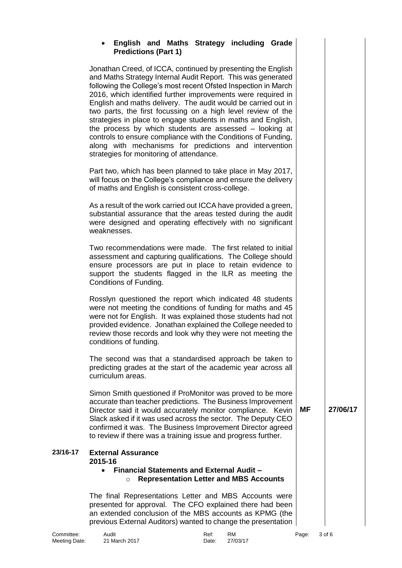# **English and Maths Strategy including Grade Predictions (Part 1)**

Jonathan Creed, of ICCA, continued by presenting the English and Maths Strategy Internal Audit Report. This was generated following the College's most recent Ofsted Inspection in March 2016, which identified further improvements were required in English and maths delivery. The audit would be carried out in two parts, the first focussing on a high level review of the strategies in place to engage students in maths and English, the process by which students are assessed – looking at controls to ensure compliance with the Conditions of Funding, along with mechanisms for predictions and intervention strategies for monitoring of attendance.

Part two, which has been planned to take place in May 2017, will focus on the College's compliance and ensure the delivery of maths and English is consistent cross-college.

As a result of the work carried out ICCA have provided a green, substantial assurance that the areas tested during the audit were designed and operating effectively with no significant weaknesses.

Two recommendations were made. The first related to initial assessment and capturing qualifications. The College should ensure processors are put in place to retain evidence to support the students flagged in the ILR as meeting the Conditions of Funding.

Rosslyn questioned the report which indicated 48 students were not meeting the conditions of funding for maths and 45 were not for English. It was explained those students had not provided evidence. Jonathan explained the College needed to review those records and look why they were not meeting the conditions of funding.

The second was that a standardised approach be taken to predicting grades at the start of the academic year across all curriculum areas.

Simon Smith questioned if ProMonitor was proved to be more accurate than teacher predictions. The Business Improvement Director said it would accurately monitor compliance. Kevin Slack asked if it was used across the sector. The Deputy CEO confirmed it was. The Business Improvement Director agreed to review if there was a training issue and progress further.

#### **23/16-17 External Assurance 2015-16**

### **Financial Statements and External Audit –** o **Representation Letter and MBS Accounts**

The final Representations Letter and MBS Accounts were presented for approval. The CFO explained there had been an extended conclusion of the MBS accounts as KPMG (the previous External Auditors) wanted to change the presentation

**MF 27/06/17**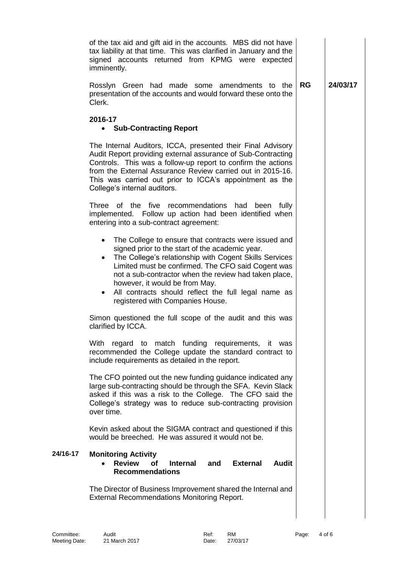|          | of the tax aid and gift aid in the accounts. MBS did not have<br>tax liability at that time. This was clarified in January and the<br>signed accounts returned from KPMG were expected<br>imminently.                                                                                                                                                                                                                                   |           |          |
|----------|-----------------------------------------------------------------------------------------------------------------------------------------------------------------------------------------------------------------------------------------------------------------------------------------------------------------------------------------------------------------------------------------------------------------------------------------|-----------|----------|
|          | Rosslyn Green had made some amendments to the<br>presentation of the accounts and would forward these onto the<br>Clerk.                                                                                                                                                                                                                                                                                                                | <b>RG</b> | 24/03/17 |
|          | 2016-17<br><b>Sub-Contracting Report</b><br>$\bullet$                                                                                                                                                                                                                                                                                                                                                                                   |           |          |
|          | The Internal Auditors, ICCA, presented their Final Advisory<br>Audit Report providing external assurance of Sub-Contracting<br>Controls. This was a follow-up report to confirm the actions<br>from the External Assurance Review carried out in 2015-16.<br>This was carried out prior to ICCA's appointment as the<br>College's internal auditors.                                                                                    |           |          |
|          | Three<br>of the five recommendations<br>had<br>been<br>fully<br>implemented. Follow up action had been identified when<br>entering into a sub-contract agreement:                                                                                                                                                                                                                                                                       |           |          |
|          | The College to ensure that contracts were issued and<br>$\bullet$<br>signed prior to the start of the academic year.<br>The College's relationship with Cogent Skills Services<br>$\bullet$<br>Limited must be confirmed. The CFO said Cogent was<br>not a sub-contractor when the review had taken place,<br>however, it would be from May.<br>All contracts should reflect the full legal name as<br>registered with Companies House. |           |          |
|          | Simon questioned the full scope of the audit and this was<br>clarified by ICCA.                                                                                                                                                                                                                                                                                                                                                         |           |          |
|          | regard to match funding requirements, it was<br>With<br>recommended the College update the standard contract to<br>include requirements as detailed in the report.                                                                                                                                                                                                                                                                      |           |          |
|          | The CFO pointed out the new funding guidance indicated any<br>large sub-contracting should be through the SFA. Kevin Slack<br>asked if this was a risk to the College. The CFO said the<br>College's strategy was to reduce sub-contracting provision<br>over time.                                                                                                                                                                     |           |          |
|          | Kevin asked about the SIGMA contract and questioned if this<br>would be breeched. He was assured it would not be.                                                                                                                                                                                                                                                                                                                       |           |          |
| 24/16-17 | <b>Monitoring Activity</b><br><b>Review</b><br>Οf<br><b>External</b><br><b>Audit</b><br><b>Internal</b><br>and<br><b>Recommendations</b>                                                                                                                                                                                                                                                                                                |           |          |
|          | The Director of Business Improvement shared the Internal and<br><b>External Recommendations Monitoring Report.</b>                                                                                                                                                                                                                                                                                                                      |           |          |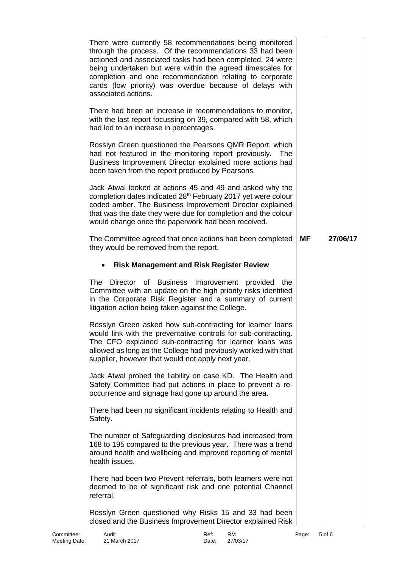|                | There were currently 58 recommendations being monitored<br>through the process. Of the recommendations 33 had been<br>actioned and associated tasks had been completed, 24 were<br>being undertaken but were within the agreed timescales for<br>completion and one recommendation relating to corporate<br>cards (low priority) was overdue because of delays with<br>associated actions.<br>There had been an increase in recommendations to monitor,<br>with the last report focussing on 39, compared with 58, which<br>had led to an increase in percentages.<br>Rosslyn Green questioned the Pearsons QMR Report, which<br>had not featured in the monitoring report previously.<br><b>The</b><br>Business Improvement Director explained more actions had<br>been taken from the report produced by Pearsons.<br>Jack Atwal looked at actions 45 and 49 and asked why the<br>completion dates indicated 28 <sup>th</sup> February 2017 yet were colour<br>coded amber. The Business Improvement Director explained<br>that was the date they were due for completion and the colour<br>would change once the paperwork had been received. |           |          |
|----------------|--------------------------------------------------------------------------------------------------------------------------------------------------------------------------------------------------------------------------------------------------------------------------------------------------------------------------------------------------------------------------------------------------------------------------------------------------------------------------------------------------------------------------------------------------------------------------------------------------------------------------------------------------------------------------------------------------------------------------------------------------------------------------------------------------------------------------------------------------------------------------------------------------------------------------------------------------------------------------------------------------------------------------------------------------------------------------------------------------------------------------------------------------|-----------|----------|
|                | The Committee agreed that once actions had been completed<br>they would be removed from the report.                                                                                                                                                                                                                                                                                                                                                                                                                                                                                                                                                                                                                                                                                                                                                                                                                                                                                                                                                                                                                                              | <b>MF</b> | 27/06/17 |
|                | <b>Risk Management and Risk Register Review</b>                                                                                                                                                                                                                                                                                                                                                                                                                                                                                                                                                                                                                                                                                                                                                                                                                                                                                                                                                                                                                                                                                                  |           |          |
| The            | Director of Business Improvement provided<br>the<br>Committee with an update on the high priority risks identified<br>in the Corporate Risk Register and a summary of current<br>litigation action being taken against the College.                                                                                                                                                                                                                                                                                                                                                                                                                                                                                                                                                                                                                                                                                                                                                                                                                                                                                                              |           |          |
|                | Rosslyn Green asked how sub-contracting for learner loans<br>would link with the preventative controls for sub-contracting.<br>The CFO explained sub-contracting for learner loans was<br>allowed as long as the College had previously worked with that<br>supplier, however that would not apply next year.                                                                                                                                                                                                                                                                                                                                                                                                                                                                                                                                                                                                                                                                                                                                                                                                                                    |           |          |
|                | Jack Atwal probed the liability on case KD. The Health and<br>Safety Committee had put actions in place to prevent a re-<br>occurrence and signage had gone up around the area.                                                                                                                                                                                                                                                                                                                                                                                                                                                                                                                                                                                                                                                                                                                                                                                                                                                                                                                                                                  |           |          |
| Safety.        | There had been no significant incidents relating to Health and                                                                                                                                                                                                                                                                                                                                                                                                                                                                                                                                                                                                                                                                                                                                                                                                                                                                                                                                                                                                                                                                                   |           |          |
| health issues. | The number of Safeguarding disclosures had increased from<br>168 to 195 compared to the previous year. There was a trend<br>around health and wellbeing and improved reporting of mental                                                                                                                                                                                                                                                                                                                                                                                                                                                                                                                                                                                                                                                                                                                                                                                                                                                                                                                                                         |           |          |
| referral.      | There had been two Prevent referrals, both learners were not<br>deemed to be of significant risk and one potential Channel                                                                                                                                                                                                                                                                                                                                                                                                                                                                                                                                                                                                                                                                                                                                                                                                                                                                                                                                                                                                                       |           |          |
|                | Rosslyn Green questioned why Risks 15 and 33 had been<br>closed and the Business Improvement Director explained Risk                                                                                                                                                                                                                                                                                                                                                                                                                                                                                                                                                                                                                                                                                                                                                                                                                                                                                                                                                                                                                             |           |          |